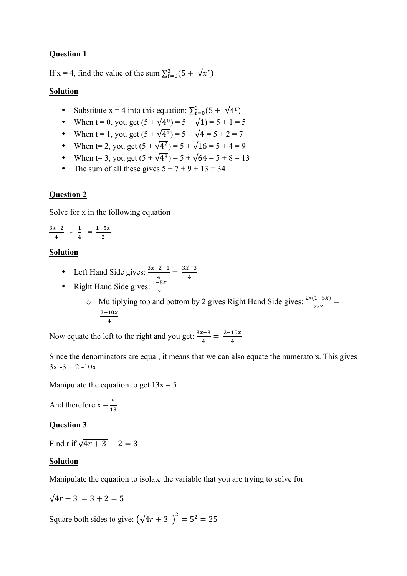## **Question 1**

If x = 4, find the value of the sum  $\sum_{t=0}^{3} (5 + \sqrt{x^t})$ 

#### **Solution**

- Substitute x = 4 into this equation:  $\sum_{t=0}^{3} (5 + \sqrt{4^t})$
- When  $t = 0$ , you get  $(5 + \sqrt{4^0}) = 5 + \sqrt{1} = 5 + 1 = 5$
- When t = 1, you get  $(5 + \sqrt{4^1}) = 5 + \sqrt{4} = 5 + 2 = 7$
- When t= 2, you get  $(5 + \sqrt{4^2}) = 5 + \sqrt{16} = 5 + 4 = 9$
- When t= 3, you get  $(5 + \sqrt{4^3}) = 5 + \sqrt{64} = 5 + 8 = 13$
- The sum of all these gives  $5 + 7 + 9 + 13 = 34$

## **Question 2**

Solve for x in the following equation

$$
\frac{3x-2}{4} - \frac{1}{4} = \frac{1-5x}{2}
$$

#### **Solution**

- Left Hand Side gives:  $\frac{3x-2-1}{4} = \frac{3x-3}{4}$
- Right Hand Side gives:  $\frac{1-5x}{2}$ 
	- o Multiplying top and bottom by 2 gives Right Hand Side gives:  $\frac{2*(1-5x)}{2*2}$  =  $\frac{2-10x}{4}$

Now equate the left to the right and you get:  $\frac{3x-3}{4} = \frac{2-10x}{4}$ 

Since the denominators are equal, it means that we can also equate the numerators. This gives  $3x - 3 = 2 -10x$ 

Manipulate the equation to get  $13x = 5$ 

And therefore  $x = \frac{5}{13}$ 

#### **Question 3**

Find r if  $\sqrt{4r + 3} - 2 = 3$ 

#### **Solution**

Manipulate the equation to isolate the variable that you are trying to solve for

$$
\sqrt{4r+3} = 3 + 2 = 5
$$

Square both sides to give:  $(\sqrt{4r+3})^2 = 5^2 = 25$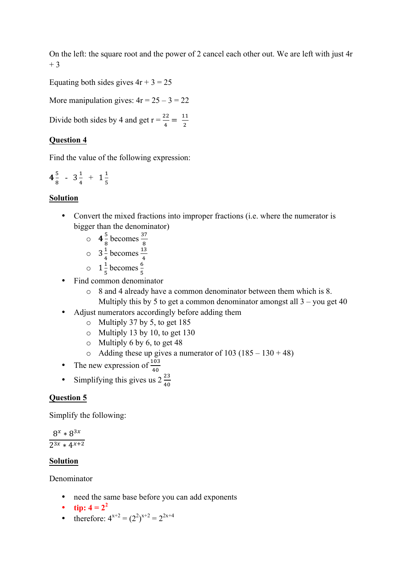On the left: the square root and the power of 2 cancel each other out. We are left with just 4r + 3

Equating both sides gives  $4r + 3 = 25$ 

More manipulation gives:  $4r = 25 - 3 = 22$ 

Divide both sides by 4 and get  $r = \frac{22}{4} = \frac{11}{2}$ 

## **Question 4**

Find the value of the following expression:

$$
4\frac{5}{8} - 3\frac{1}{4} + 1\frac{1}{5}
$$

## **Solution**

- Convert the mixed fractions into improper fractions (i.e. where the numerator is bigger than the denominator)
	- $\circ$  4 $\frac{5}{8}$  becomes  $\frac{37}{8}$
	- $\circ$  3  $\frac{1}{4}$  becomes  $\frac{13}{4}$
	-
	- $\circ$  1  $\frac{1}{5}$  becomes  $\frac{6}{5}$
- Find common denominator
	- o 8 and 4 already have a common denominator between them which is 8. Multiply this by 5 to get a common denominator amongst all  $3 -$ you get 40
- Adjust numerators accordingly before adding them
	- o Multiply 37 by 5, to get 185
	- o Multiply 13 by 10, to get 130
	- $\circ$  Multiply 6 by 6, to get 48
	- $\circ$  Adding these up gives a numerator of 103 (185 130 + 48)
- The new expression of  $\frac{103}{40}$
- Simplifying this gives us  $2\frac{23}{40}$

## **Question 5**

Simplify the following:

 $8^{x} * 8^{3x}$  $2^{3x} * 4^{x+2}$ 

## **Solution**

Denominator

- need the same base before you can add exponents
- **tip:**  $4 = 2^2$
- therefore:  $4^{x+2} = (2^2)^{x+2} = 2^{2x+4}$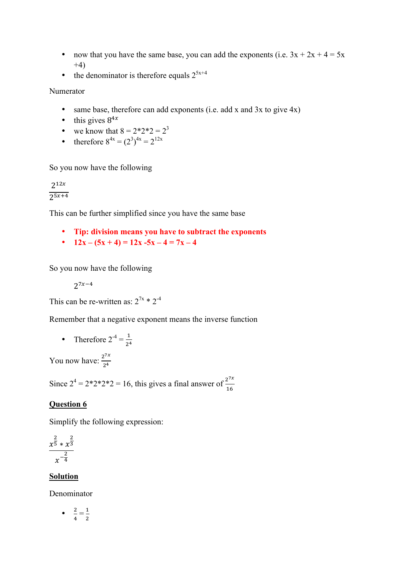- now that you have the same base, you can add the exponents (i.e.  $3x + 2x + 4 = 5x$  $+4)$
- the denominator is therefore equals  $2^{5x+4}$

Numerator

- same base, therefore can add exponents (i.e. add x and 3x to give 4x)
- this gives  $8^{4x}$
- we know that  $8 = 2 \times 2 \times 2 = 2^3$
- therefore  $8^{4x} = (2^3)^{4x} = 2^{12x}$

So you now have the following

 $2^{12x}$  $75x+4$ 

This can be further simplified since you have the same base

- **Tip: division means you have to subtract the exponents**
- **12x**  $(5x + 4) = 12x 5x 4 = 7x 4$

So you now have the following

 $2^{7x-4}$ 

This can be re-written as:  $2^{7x} * 2^{-4}$ 

Remember that a negative exponent means the inverse function

• Therefore  $2^{-4} = \frac{1}{24}$ 2<sup>4</sup>

You now have:  $\frac{2^{7x}}{2^4}$ 

Since  $2^4 = 2 \cdot 2 \cdot 2 \cdot 2 = 16$ , this gives a final answer of  $\frac{2^{7x}}{16}$ 

## **Question 6**

Simplify the following expression:

$$
\frac{x^{\frac{2}{5}} \cdot x^{\frac{2}{3}}}{x^{-\frac{2}{4}}}
$$

#### **Solution**

Denominator

$$
\bullet \quad \frac{2}{4} = \frac{1}{2}
$$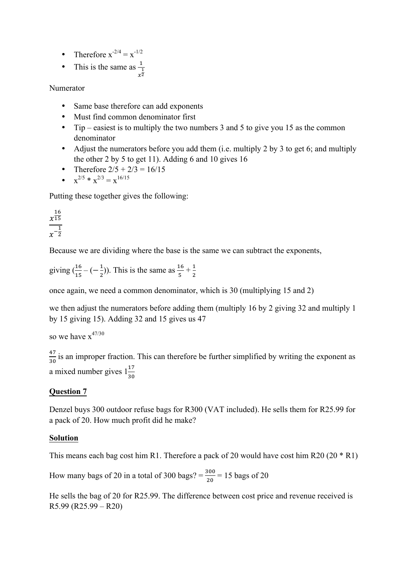- Therefore  $x^{-2/4} = x^{-1/2}$
- This is the same as  $\frac{1}{1}$  $\frac{1}{x^2}$

Numerator

- Same base therefore can add exponents
- Must find common denominator first
- Tip easiest is to multiply the two numbers 3 and 5 to give you 15 as the common denominator
- Adjust the numerators before you add them (i.e. multiply 2 by 3 to get 6; and multiply the other 2 by 5 to get 11). Adding 6 and 10 gives 16
- Therefore  $2/5 + 2/3 = 16/15$
- $x^{2/5} * x^{2/3} = x^{16/15}$

Putting these together gives the following:

 $\frac{16}{x\overline{15}}$ 15  $x^{-\frac{1}{2}}$ 

Because we are dividing where the base is the same we can subtract the exponents,

giving  $(\frac{16}{15} - (-\frac{1}{2}))$ . This is the same as  $\frac{16}{5} + \frac{1}{2}$ 

once again, we need a common denominator, which is 30 (multiplying 15 and 2)

we then adjust the numerators before adding them (multiply 16 by 2 giving 32 and multiply 1 by 15 giving 15). Adding 32 and 15 gives us 47

so we have  $x^{47/30}$ 

 $\frac{47}{30}$  is an improper fraction. This can therefore be further simplified by writing the exponent as a mixed number gives  $1\frac{17}{30}$ 

## **Question 7**

Denzel buys 300 outdoor refuse bags for R300 (VAT included). He sells them for R25.99 for a pack of 20. How much profit did he make?

## **Solution**

This means each bag cost him R1. Therefore a pack of 20 would have cost him R20 (20 \* R1)

How many bags of 20 in a total of 300 bags?  $=$   $\frac{300}{20}$  = 15 bags of 20

He sells the bag of 20 for R25.99. The difference between cost price and revenue received is R5.99 (R25.99 – R20)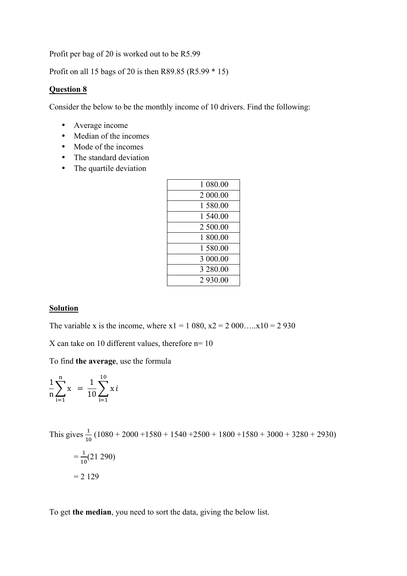Profit per bag of 20 is worked out to be R5.99

Profit on all 15 bags of 20 is then R89.85 (R5.99 \* 15)

#### **Question 8**

Consider the below to be the monthly income of 10 drivers. Find the following:

- Average income
- Median of the incomes
- Mode of the incomes
- The standard deviation
- The quartile deviation

#### **Solution**

The variable x is the income, where  $x1 = 1080$ ,  $x2 = 2000$ .... $x10 = 2930$ 

X can take on 10 different values, therefore n= 10

To find **the average**, use the formula

$$
\frac{1}{n}\sum_{i=1}^{n} x = \frac{1}{10}\sum_{i=1}^{10} x i
$$

This gives  $\frac{1}{10}$  (1080 + 2000 +1580 + 1540 +2500 + 1800 +1580 + 3000 + 3280 + 2930)  $=\frac{1}{10}(21\ 290)$  $= 2 129$ 

To get **the median**, you need to sort the data, giving the below list.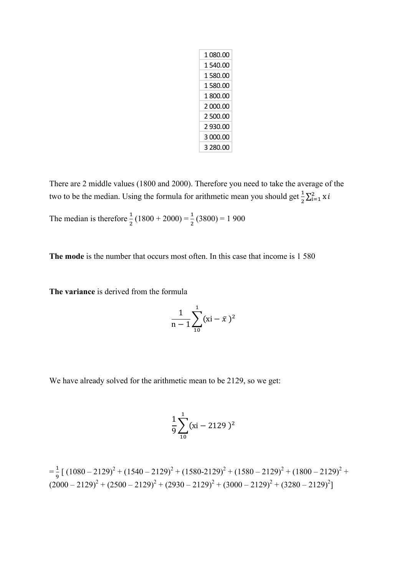| 1 ᲘጸᲘ ᲘᲘ |
|----------|
| 1 540.00 |
| 1 580.00 |
| 1 580.00 |
| 1 800.00 |
| 2000.00  |
| 2 500.00 |
| 2 930.00 |
| 3 000.00 |
| 3 280.00 |

There are 2 middle values (1800 and 2000). Therefore you need to take the average of the two to be the median. Using the formula for arithmetic mean you should get  $\frac{1}{2} \sum_{i=1}^{2} x_i i$ 

The median is therefore  $\frac{1}{2}(1800 + 2000) = \frac{1}{2}(3800) = 1900$ 

**The mode** is the number that occurs most often. In this case that income is 1 580

**The variance** is derived from the formula

$$
\frac{1}{n-1}\sum_{10}^{1}(xi-\bar{x}\,)^2
$$

We have already solved for the arithmetic mean to be 2129, so we get:

$$
\frac{1}{9} \sum_{10}^{1} (xi - 2129)^2
$$

$$
=\frac{1}{9}[(1080-2129)^2+(1540-2129)^2+(1580-2129)^2+(1580-2129)^2+(1800-2129)^2+(2000-2129)^2+(2500-2129)^2+(2930-2129)^2+(3000-2129)^2+(3280-2129)^2]
$$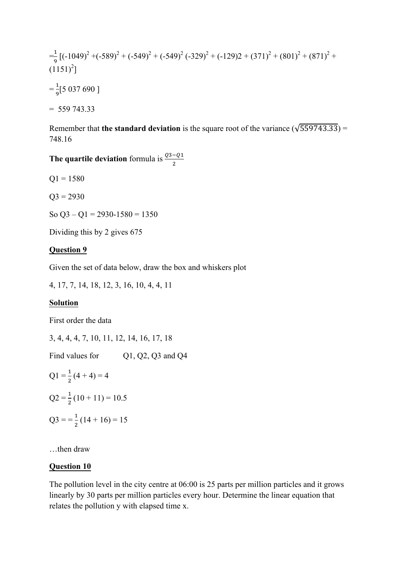$$
=\frac{1}{9}\left[(-1049)^2 + (-589)^2 + (-549)^2 + (-549)^2 + (-329)^2 + (-129)2 + (371)^2 + (801)^2 + (871)^2 + (1151)^2\right]
$$
  
=  $\frac{1}{9}[5\ 037\ 690\ ]$   
= 559 743.33

Remember that **the standard deviation** is the square root of the variance ( $\sqrt{559743.33}$ ) = 748.16

**The quartile deviation** formula is  $\frac{Q3-Q1}{2}$ 

 $Q1 = 1580$ 

 $Q3 = 2930$ 

So  $O3 - O1 = 2930 - 1580 = 1350$ 

Dividing this by 2 gives 675

#### **Question 9**

Given the set of data below, draw the box and whiskers plot

4, 17, 7, 14, 18, 12, 3, 16, 10, 4, 4, 11

#### **Solution**

First order the data

3, 4, 4, 4, 7, 10, 11, 12, 14, 16, 17, 18 Find values for Q1, Q2, Q3 and Q4  $Q1 = \frac{1}{2}(4 + 4) = 4$  $Q2 = \frac{1}{2}(10 + 11) = 10.5$  $Q3 = \frac{1}{2}(14 + 16) = 15$ 

…then draw

## **Question 10**

The pollution level in the city centre at 06:00 is 25 parts per million particles and it grows linearly by 30 parts per million particles every hour. Determine the linear equation that relates the pollution y with elapsed time x.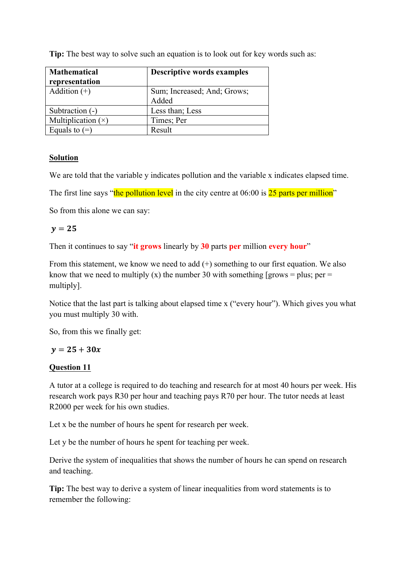**Tip:** The best way to solve such an equation is to look out for key words such as:

| <b>Mathematical</b><br>representation | <b>Descriptive words examples</b>    |
|---------------------------------------|--------------------------------------|
| Addition $(+)$                        | Sum; Increased; And; Grows;<br>Added |
| Subtraction (-)                       | Less than; Less                      |
| Multiplication $(x)$                  | Times; Per                           |
| Equals to $(=)$                       | Result                               |

## **Solution**

We are told that the variable y indicates pollution and the variable x indicates elapsed time.

The first line says "the pollution level in the city centre at  $06:00$  is  $25$  parts per million"

So from this alone we can say:

## $v=25$

Then it continues to say "**it grows** linearly by **30** parts **per** million **every hour**"

From this statement, we know we need to add (+) something to our first equation. We also know that we need to multiply (x) the number 30 with something [grows = plus; per = multiply].

Notice that the last part is talking about elapsed time x ("every hour"). Which gives you what you must multiply 30 with.

So, from this we finally get:

## $y = 25 + 30x$

## **Question 11**

A tutor at a college is required to do teaching and research for at most 40 hours per week. His research work pays R30 per hour and teaching pays R70 per hour. The tutor needs at least R2000 per week for his own studies.

Let x be the number of hours he spent for research per week.

Let y be the number of hours he spent for teaching per week.

Derive the system of inequalities that shows the number of hours he can spend on research and teaching.

**Tip:** The best way to derive a system of linear inequalities from word statements is to remember the following: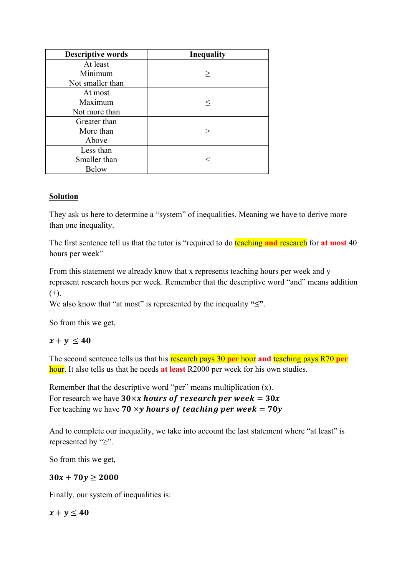| <b>Descriptive words</b> | <b>Inequality</b> |
|--------------------------|-------------------|
| At least                 |                   |
| Minimum                  | >                 |
| Not smaller than         |                   |
| At most                  |                   |
| Maximum                  | $\,<$             |
| Not more than            |                   |
| Greater than             |                   |
| More than                | >                 |
| Above                    |                   |
| Less than                |                   |
| Smaller than             | ←                 |
| <b>Below</b>             |                   |

## **Solution**

They ask us here to determine a "system" of inequalities. Meaning we have to derive more than one inequality.

The first sentence tell us that the tutor is "required to do teaching **and** research for **at most** 40 hours per week"

From this statement we already know that x represents teaching hours per week and y represent research hours per week. Remember that the descriptive word "and" means addition  $(+).$ 

We also know that "at most" is represented by the inequality **"≤"**.

So from this we get,

## $x + y \le 40$

The second sentence tells us that his research pays 30 **per** hour **and** teaching pays R70 **per** hour. It also tells us that he needs **at least** R2000 per week for his own studies.

Remember that the descriptive word "per" means multiplication (x). For research we have  $30 \times x$  hours of research per week =  $30x$ For teaching we have  $70 \times y$  hours of teaching per week =  $70y$ 

And to complete our inequality, we take into account the last statement where "at least" is represented by "≥".

So from this we get,

## $30x + 70y \ge 2000$

Finally, our system of inequalities is:

 $x + v \leq 40$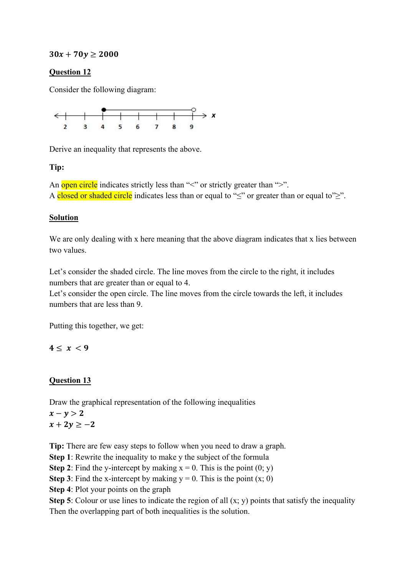## $30x + 70y \ge 2000$

## **Question 12**

Consider the following diagram:



Derive an inequality that represents the above.

## **Tip:**

An open circle indicates strictly less than " $\leq$ " or strictly greater than " $\geq$ ". A closed or shaded circle indicates less than or equal to " $\leq$ " or greater than or equal to" $\geq$ ".

## **Solution**

We are only dealing with x here meaning that the above diagram indicates that x lies between two values.

Let's consider the shaded circle. The line moves from the circle to the right, it includes numbers that are greater than or equal to 4.

Let's consider the open circle. The line moves from the circle towards the left, it includes numbers that are less than 9.

Putting this together, we get:

## $4 \leq x < 9$

## **Question 13**

Draw the graphical representation of the following inequalities

 $x - y > 2$  $x + 2y \ge -2$ 

**Tip:** There are few easy steps to follow when you need to draw a graph.

**Step 1**: Rewrite the inequality to make y the subject of the formula

**Step 2**: Find the y-intercept by making  $x = 0$ . This is the point  $(0; y)$ 

**Step 3**: Find the x-intercept by making  $y = 0$ . This is the point  $(x; 0)$ 

**Step 4**: Plot your points on the graph

**Step 5**: Colour or use lines to indicate the region of all  $(x, y)$  points that satisfy the inequality Then the overlapping part of both inequalities is the solution.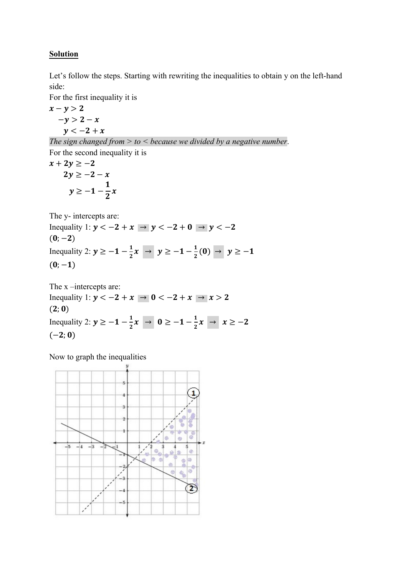## **Solution**

Let's follow the steps. Starting with rewriting the inequalities to obtain y on the left-hand side:

For the first inequality it is

 $x - y > 2$  $-y > 2 - x$  $y < -2 + x$ 

*The sign changed from > to < because we divided by a negative number*.

For the second inequality it is

 $x + 2y \ge -2$  $2y \ge -2 - x$  $y \ge -1 - \frac{1}{2}$  $\frac{1}{2}x$ 

The y- intercepts are:

Inequality 1:  $y < -2 + x \rightarrow y < -2 + 0 \rightarrow y < -2$  $(0; -2)$ Inequality 2:  $y \ge -1 - \frac{1}{2}x \rightarrow y \ge -1 - \frac{1}{2}(0) \rightarrow y \ge -1$  $(0; -1)$ 

The x –intercepts are: Inequality 1:  $y < -2 + x \rightarrow 0 < -2 + x \rightarrow x > 2$  $(2; 0)$ Inequality 2:  $y \ge -1 - \frac{1}{2}x \rightarrow 0 \ge -1 - \frac{1}{2}x \rightarrow x \ge -2$  $(-2; 0)$ 

Now to graph the inequalities

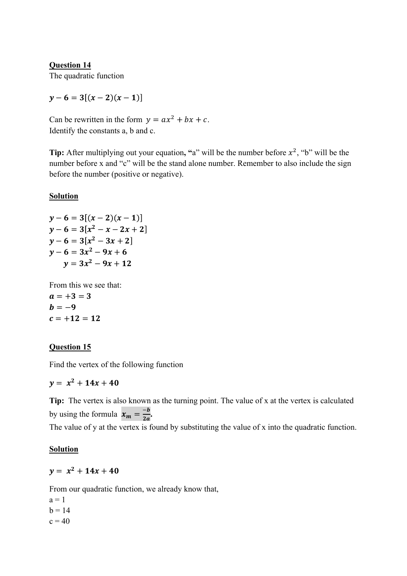**Question 14** The quadratic function

 $y-6 = 3[(x-2)(x-1)]$ 

Can be rewritten in the form  $y = ax^2 + bx + c$ . Identify the constants a, b and c.

**Tip:** After multiplying out your equation, "a" will be the number before  $x^2$ , "b" will be the number before x and "c" will be the stand alone number. Remember to also include the sign before the number (positive or negative).

## **Solution**

$$
y-6 = 3[(x-2)(x-1)]
$$
  
\n
$$
y-6 = 3[x2-x-2x+2]
$$
  
\n
$$
y-6 = 3[x2-3x+2]
$$
  
\n
$$
y-6 = 3x2-9x+6
$$
  
\n
$$
y = 3x2-9x+12
$$

From this we see that:  $a = +3 = 3$  $b = -9$  $c = +12 = 12$ 

## **Question 15**

Find the vertex of the following function

 $y = x^2 + 14x + 40$ 

**Tip:** The vertex is also known as the turning point. The value of x at the vertex is calculated by using the formula  $x_m = \frac{-b}{2a}$ .

The value of y at the vertex is found by substituting the value of x into the quadratic function.

#### **Solution**

 $v = x^2 + 14x + 40$ 

From our quadratic function, we already know that,

 $a = 1$  $b = 14$  $c = 40$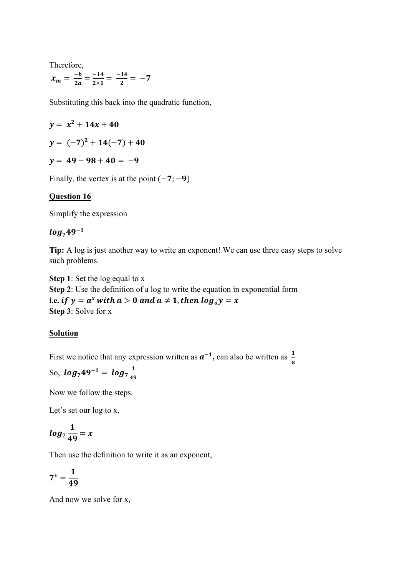Therefore,

$$
x_m = \frac{-b}{2a} = \frac{-14}{2 \times 1} = \frac{-14}{2} = -7
$$

Substituting this back into the quadratic function,

$$
y = x^2 + 14x + 40
$$

$$
y = (-7)^2 + 14(-7) + 40
$$

$$
y = 49 - 98 + 40 = -9
$$

Finally, the vertex is at the point  $(-7, -9)$ 

#### **Question 16**

Simplify the expression

## $log_7 49^{-1}$

**Tip:** A log is just another way to write an exponent! We can use three easy steps to solve such problems.

**Step 1**: Set the log equal to x **Step 2**: Use the definition of a log to write the equation in exponential form i.e. *if*  $y = a^x$  with  $a > 0$  and  $a \ne 1$ , then  $\log_a y = x$ **Step 3**: Solve for x

#### **Solution**

First we notice that any expression written as  $a^{-1}$ , can also be written as  $\frac{1}{a}$ 

So, 
$$
log_7 49^{-1} = log_7 \frac{1}{49}
$$

Now we follow the steps.

Let's set our log to x,

$$
log_7\frac{1}{49}=x
$$

Then use the definition to write it as an exponent,

$$
7^x=\frac{1}{49}
$$

And now we solve for x,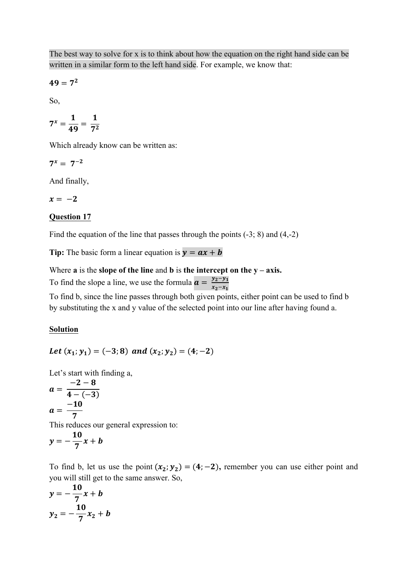The best way to solve for x is to think about how the equation on the right hand side can be written in a similar form to the left hand side. For example, we know that:

$$
49=7^2
$$

So,

$$
7^x = \frac{1}{49} = \frac{1}{7^2}
$$

Which already know can be written as:

 $7^x = 7^{-2}$ 

And finally,

$$
x = -2
$$

## **Question 17**

Find the equation of the line that passes through the points (-3; 8) and (4,-2)

**Tip:** The basic form a linear equation is  $y = ax + b$ 

Where  $\bf{a}$  is the **slope of the line** and  $\bf{b}$  is the intercept on the  $\bf{y}$  –  $\bf{axis}$ .

To find the slope a line, we use the formula  $\mathbf{a} = \frac{y_2 - y_1}{x_2 - x_1}$ 

To find b, since the line passes through both given points, either point can be used to find b by substituting the x and y value of the selected point into our line after having found a.

#### **Solution**

Let  $(x_1; y_1) = (-3; 8)$  and  $(x_2; y_2) = (4; -2)$ 

Let's start with finding a,

$$
a = \frac{-2 - 8}{4 - (-3)}
$$
  

$$
a = \frac{-10}{7}
$$

This reduces our general expression to:

$$
y=-\frac{10}{7}x+b
$$

To find b, let us use the point  $(x_2; y_2) = (4; -2)$ , remember you can use either point and you will still get to the same answer. So,

$$
y = -\frac{10}{7}x + b
$$
  

$$
y_2 = -\frac{10}{7}x_2 + b
$$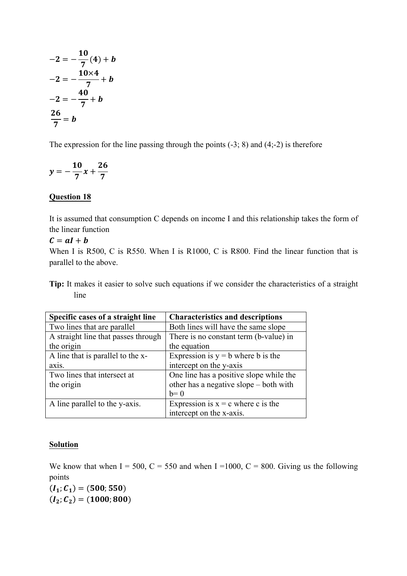$$
-2 = -\frac{10}{7}(4) + b
$$
  

$$
-2 = -\frac{10 \times 4}{7} + b
$$
  

$$
-2 = -\frac{40}{7} + b
$$
  

$$
\frac{26}{7} = b
$$

The expression for the line passing through the points  $(-3, 8)$  and  $(4,-2)$  is therefore

$$
y = -\frac{10}{7}x + \frac{26}{7}
$$

## **Question 18**

It is assumed that consumption C depends on income I and this relationship takes the form of the linear function

 $c = aI + b$ 

When I is R500, C is R550. When I is R1000, C is R800. Find the linear function that is parallel to the above.

**Tip:** It makes it easier to solve such equations if we consider the characteristics of a straight line

| Specific cases of a straight line   | <b>Characteristics and descriptions</b> |
|-------------------------------------|-----------------------------------------|
| Two lines that are parallel         | Both lines will have the same slope     |
| A straight line that passes through | There is no constant term (b-value) in  |
| the origin                          | the equation                            |
| A line that is parallel to the x-   | Expression is $y = b$ where b is the    |
| axis.                               | intercept on the y-axis                 |
| Two lines that intersect at         | One line has a positive slope while the |
| the origin                          | other has a negative slope – both with  |
|                                     | $b=0$                                   |
| A line parallel to the y-axis.      | Expression is $x = c$ where c is the    |
|                                     | intercept on the x-axis.                |

#### **Solution**

We know that when I = 500, C = 550 and when I = 1000, C = 800. Giving us the following points

 $(I_1; C_1) = (500; 550)$  $(I_2; C_2) = (1000; 800)$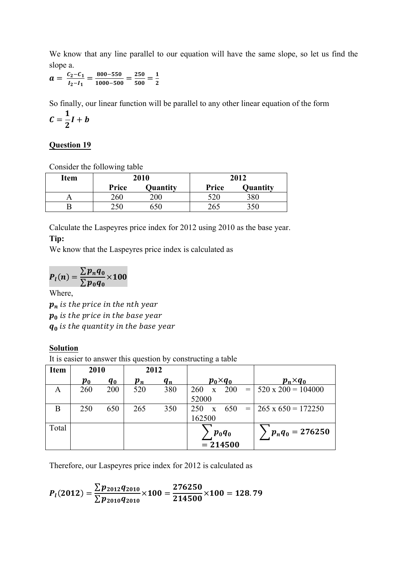We know that any line parallel to our equation will have the same slope, so let us find the slope a.

 $a = \frac{c_2 - c_1}{l_2 - l_1} = \frac{800 - 550}{1000 - 500} = \frac{250}{500} = \frac{1}{2}$ 

So finally, our linear function will be parallel to any other linear equation of the form  $c=\frac{1}{2}$  $\frac{1}{2}$  $I + b$ 

## **Question 19**

Consider the following table

| <b>Item</b> | 2010  |          | 2012         |          |  |
|-------------|-------|----------|--------------|----------|--|
|             | Price | Quantity | <b>Price</b> | Quantity |  |
|             | 260   | 200      | 520          | 380      |  |
|             | 250   | 550      | 265          | 350      |  |

Calculate the Laspeyres price index for 2012 using 2010 as the base year. **Tip:**

We know that the Laspeyres price index is calculated as

$$
P_l(n) = \frac{\sum p_n q_0}{\sum p_0 q_0} \times 100
$$

Where,

 $p_n$  is the price in the nth year  $p_0$  is the price in the base year  $q_0$  is the quantity in the base year

## **Solution**

It is easier to answer this question by constructing a table

| <b>Item</b> | 2010               |         | 2012                              |       |                     |                     |     |                             |
|-------------|--------------------|---------|-----------------------------------|-------|---------------------|---------------------|-----|-----------------------------|
|             | $\boldsymbol{p_0}$ | $q_{0}$ | $\boldsymbol{p}_{\boldsymbol{n}}$ | $q_n$ | $p_0 \times q_0$    |                     |     | $p_n \times q_0$            |
| A           | 260                | 200     | 520                               | 380   | 260                 | 200<br>$\mathbf{X}$ |     | $= 520 \times 200 = 104000$ |
|             |                    |         |                                   |       | 52000               |                     |     |                             |
| Β           | 250                | 650     | 265                               | 350   | 250<br>$\mathbf{X}$ | 650                 | $=$ | $265 \times 650 = 172250$   |
|             |                    |         |                                   |       | 162500              |                     |     |                             |
| Total       |                    |         |                                   |       | $p_0q_0$            |                     |     | $p_nq_0 = 276250$           |
|             |                    |         |                                   |       |                     | $= 214500$          |     |                             |

Therefore, our Laspeyres price index for 2012 is calculated as

$$
P_{l}(2012)=\frac{\sum p_{2012}q_{2010}}{\sum p_{2010}q_{2010}}\times 100=\frac{276250}{214500}\times 100=128.79
$$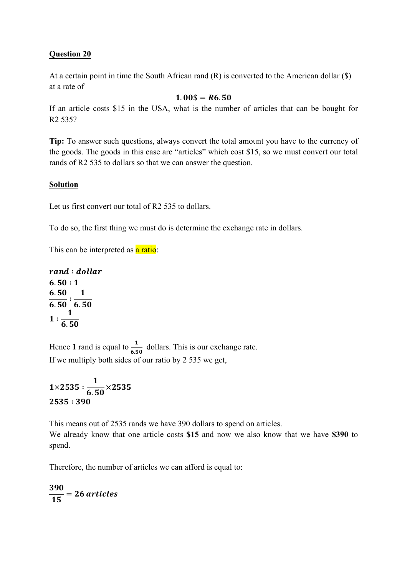## **Question 20**

At a certain point in time the South African rand (R) is converted to the American dollar (\$) at a rate of

#### $1.00\$  = R6.50

If an article costs \$15 in the USA, what is the number of articles that can be bought for R2 535?

**Tip:** To answer such questions, always convert the total amount you have to the currency of the goods. The goods in this case are "articles" which cost \$15, so we must convert our total rands of R2 535 to dollars so that we can answer the question.

## **Solution**

Let us first convert our total of R2 535 to dollars.

To do so, the first thing we must do is determine the exchange rate in dollars.

This can be interpreted as a ratio:

rand : dollar  $6.50 : 1$  $6.50$  $6.50$ ∶  $\mathbf{1}$ 6.50 ∶  $\mathbf{1}$ 6.50

Hence 1 rand is equal to  $\frac{1}{6.50}$  dollars. This is our exchange rate. If we multiply both sides of our ratio by 2 535 we get,

$$
1 \times 2535 : \frac{1}{6.50} \times 2535
$$
  
2535 : 390

This means out of 2535 rands we have 390 dollars to spend on articles. We already know that one article costs **\$15** and now we also know that we have **\$390** to spend.

Therefore, the number of articles we can afford is equal to:

390  $\frac{12}{15}$  = 26 articles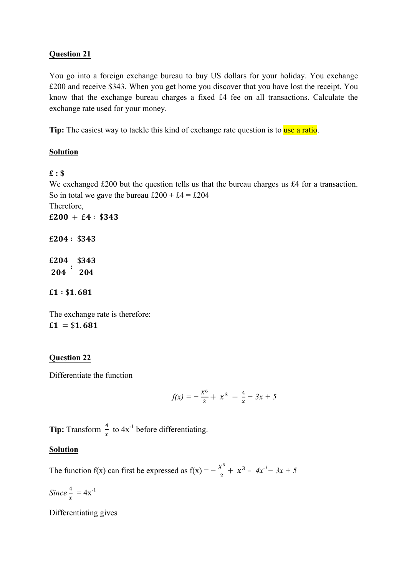## **Question 21**

You go into a foreign exchange bureau to buy US dollars for your holiday. You exchange £200 and receive \$343. When you get home you discover that you have lost the receipt. You know that the exchange bureau charges a fixed £4 fee on all transactions. Calculate the exchange rate used for your money.

**Tip:** The easiest way to tackle this kind of exchange rate question is to use a ratio.

## **Solution**

## **£ : \$**

We exchanged £200 but the question tells us that the bureau charges us £4 for a transaction. So in total we gave the bureau  $£200 + £4 = £204$ Therefore,  $£200 + £4: $343$ 

 $£204: $343$ 

£204 \$343 204 ∶ 204

 $£1: $1.681$ 

The exchange rate is therefore:  $£1 = $1.681$ 

## **Question 22**

Differentiate the function

$$
f(x) = -\frac{x^6}{2} + x^3 - \frac{4}{x} - 3x + 5
$$

**Tip:** Transform  $\frac{4}{x}$  to  $4x^{-1}$  before differentiating.

## **Solution**

The function f(x) can first be expressed as  $f(x) = -\frac{x^6}{2} + x^3 - 4x^{-1} - 3x + 5$ 

 $Since \frac{4}{x} = 4x^{-1}$ 

Differentiating gives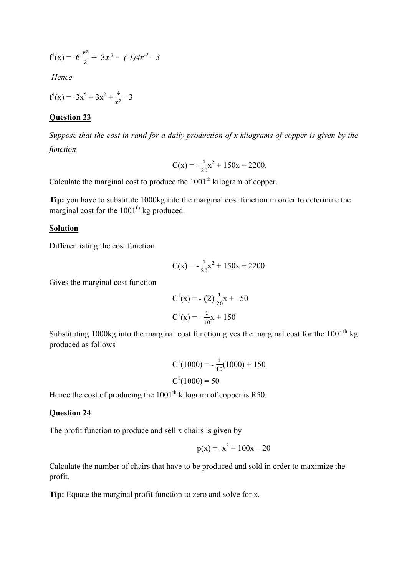$$
f^{1}(x) = -6\frac{x^{5}}{2} + 3x^{2} - (-1)4x^{2} - 3
$$

*Hence*

$$
f^{1}(x) = -3x^{5} + 3x^{2} + \frac{4}{x^{2}} - 3
$$

#### **Question 23**

*Suppose that the cost in rand for a daily production of x kilograms of copper is given by the function*

$$
C(x) = -\frac{1}{20}x^2 + 150x + 2200.
$$

Calculate the marginal cost to produce the  $1001<sup>th</sup>$  kilogram of copper.

**Tip:** you have to substitute 1000kg into the marginal cost function in order to determine the marginal cost for the  $1001<sup>th</sup>$  kg produced.

#### **Solution**

Differentiating the cost function

$$
C(x) = -\frac{1}{20}x^2 + 150x + 2200
$$

Gives the marginal cost function

$$
C1(x) = -(2) \frac{1}{20}x + 150
$$

$$
C1(x) = -\frac{1}{10}x + 150
$$

Substituting 1000kg into the marginal cost function gives the marginal cost for the  $1001<sup>th</sup>$  kg produced as follows

$$
C1(1000) = -\frac{1}{10}(1000) + 150
$$

$$
C1(1000) = 50
$$

Hence the cost of producing the  $1001<sup>th</sup>$  kilogram of copper is R50.

#### **Question 24**

The profit function to produce and sell x chairs is given by

$$
p(x) = -x^2 + 100x - 20
$$

Calculate the number of chairs that have to be produced and sold in order to maximize the profit.

**Tip:** Equate the marginal profit function to zero and solve for x.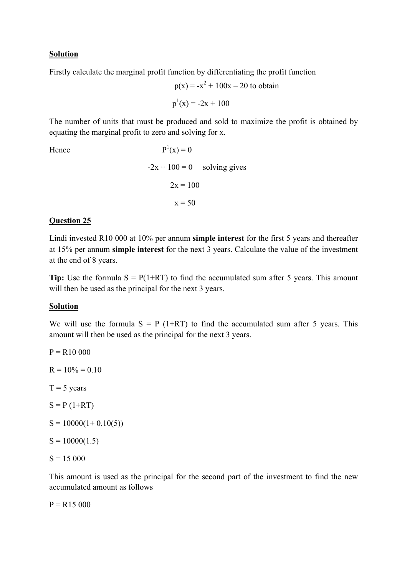#### **Solution**

Firstly calculate the marginal profit function by differentiating the profit function

$$
p(x) = -x^2 + 100x - 20
$$
to obtain  

$$
p^1(x) = -2x + 100
$$

The number of units that must be produced and sold to maximize the profit is obtained by equating the marginal profit to zero and solving for x.

Hence

 $P^{1}(x) = 0$  $-2x + 100 = 0$  solving gives  $2x = 100$  $x = 50$ 

## **Question 25**

Lindi invested R10 000 at 10% per annum **simple interest** for the first 5 years and thereafter at 15% per annum **simple interest** for the next 3 years. Calculate the value of the investment at the end of 8 years.

**Tip:** Use the formula  $S = P(1+RT)$  to find the accumulated sum after 5 years. This amount will then be used as the principal for the next 3 years.

#### **Solution**

We will use the formula  $S = P(1+RT)$  to find the accumulated sum after 5 years. This amount will then be used as the principal for the next 3 years.

 $P = R10000$  $R = 10\% = 0.10$  $T = 5$  years  $S = P (1+RT)$  $S = 10000(1+0.10(5))$  $S = 10000(1.5)$  $S = 15000$ 

This amount is used as the principal for the second part of the investment to find the new accumulated amount as follows

 $P = R15000$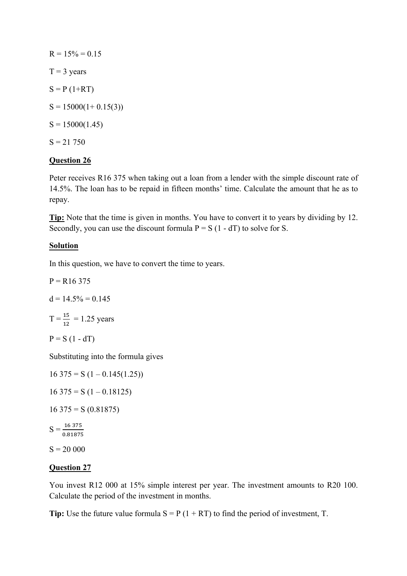$R = 15\% = 0.15$  $T = 3$  years  $S = P(1+RT)$  $S = 15000(1 + 0.15(3))$  $S = 15000(1.45)$  $S = 21,750$ 

## **Question 26**

Peter receives R16 375 when taking out a loan from a lender with the simple discount rate of 14.5%. The loan has to be repaid in fifteen months' time. Calculate the amount that he as to repay.

**Tip:** Note that the time is given in months. You have to convert it to years by dividing by 12. Secondly, you can use the discount formula  $P = S(1 - dT)$  to solve for S.

## **Solution**

In this question, we have to convert the time to years.

$$
P = R16\,375
$$

$$
d = 14.5\% = 0.145
$$

$$
T = \frac{15}{12} = 1.25 \text{ years}
$$

$$
P = S (1 - dT)
$$

Substituting into the formula gives

$$
16\ 375 = S (1 - 0.145(1.25))
$$
  
\n
$$
16\ 375 = S (1 - 0.18125)
$$
  
\n
$$
16\ 375 = S (0.81875)
$$
  
\n
$$
S = \frac{16\ 375}{0.81875}
$$
  
\n
$$
S = 20\ 000
$$

## **Question 27**

You invest R12 000 at 15% simple interest per year. The investment amounts to R20 100. Calculate the period of the investment in months.

**Tip:** Use the future value formula  $S = P(1 + RT)$  to find the period of investment, T.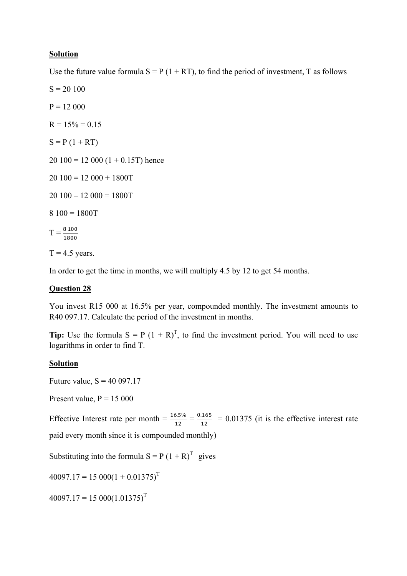#### **Solution**

Use the future value formula  $S = P(1 + RT)$ , to find the period of investment, T as follows

 $S = 20 100$  $P = 12000$  $R = 15% = 0.15$  $S = P (1 + RT)$ 

 $20 100 = 12 000 (1 + 0.15T)$  hence

 $20 100 = 12 000 + 1800T$ 

 $20 100 - 12 000 = 1800T$ 

8 100 = 1800T

$$
T=\frac{8\,100}{1800}
$$

 $T = 4.5$  years.

In order to get the time in months, we will multiply 4.5 by 12 to get 54 months.

#### **Question 28**

You invest R15 000 at 16.5% per year, compounded monthly. The investment amounts to R40 097.17. Calculate the period of the investment in months.

**Tip:** Use the formula  $S = P(1 + R)^T$ , to find the investment period. You will need to use logarithms in order to find T.

#### **Solution**

Future value,  $S = 40097.17$ 

Present value,  $P = 15000$ 

Effective Interest rate per month  $=$   $\frac{16.5\%}{12}$   $=$  0.01375 (it is the effective interest rate paid every month since it is compounded monthly)

Substituting into the formula  $S = P(1 + R)^T$  gives

 $40097.17 = 15000(1 + 0.01375)^T$ 

 $40097.17 = 15000(1.01375)^T$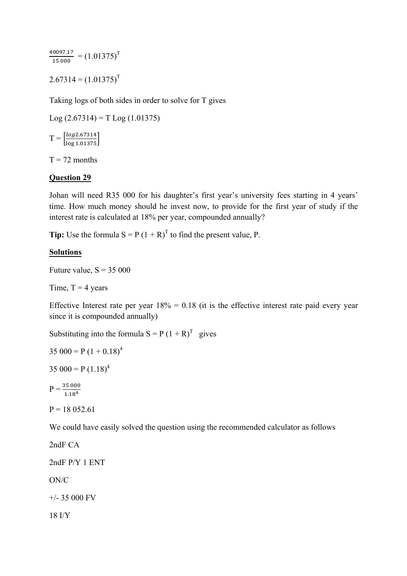$\frac{40097.17}{15000} = (1.01375)^T$  $2.67314 = (1.01375)^T$ 

Taking logs of both sides in order to solve for T gives

 $Log (2.67314) = T Log (1.01375)$ 

 $T = \begin{bmatrix} \frac{\log 2.67314}{\log 1.01375} \end{bmatrix}$ 

 $T = 72$  months

#### **Question 29**

Johan will need R35 000 for his daughter's first year's university fees starting in 4 years' time. How much money should he invest now, to provide for the first year of study if the interest rate is calculated at 18% per year, compounded annually?

**Tip:** Use the formula  $S = P(1 + R)^T$  to find the present value, P.

#### **Solutions**

Future value,  $S = 35000$ 

Time,  $T = 4$  years

Effective Interest rate per year  $18\% = 0.18$  (it is the effective interest rate paid every year since it is compounded annually)

Substituting into the formula  $S = P(1 + R)^T$  gives

```
35\,000 = P(1 + 0.18)^4
```

```
35 000 = P (1.18)^4
```

```
P = \frac{35\ 000}{1.18^4}
```
 $P = 1805261$ 

We could have easily solved the question using the recommended calculator as follows

2ndF CA 2ndF P/Y 1 ENT ON/C +/- 35 000 FV 18 I/Y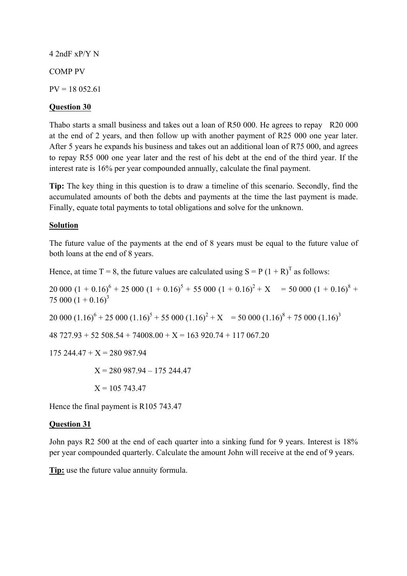4 2ndF xP/Y N

COMP PV

 $PV = 18052.61$ 

## **Question 30**

Thabo starts a small business and takes out a loan of R50 000. He agrees to repay R20 000 at the end of 2 years, and then follow up with another payment of R25 000 one year later. After 5 years he expands his business and takes out an additional loan of R75 000, and agrees to repay R55 000 one year later and the rest of his debt at the end of the third year. If the interest rate is 16% per year compounded annually, calculate the final payment.

**Tip:** The key thing in this question is to draw a timeline of this scenario. Secondly, find the accumulated amounts of both the debts and payments at the time the last payment is made. Finally, equate total payments to total obligations and solve for the unknown.

## **Solution**

The future value of the payments at the end of 8 years must be equal to the future value of both loans at the end of 8 years.

Hence, at time T = 8, the future values are calculated using  $S = P (1 + R)^T$  as follows:

20 000  $(1 + 0.16)^6 + 25\,000\,(1 + 0.16)^5 + 55\,000\,(1 + 0.16)^2 + X = 50\,000\,(1 + 0.16)^8 +$ 75 000  $(1 + 0.16)^3$ 20 000  $(1.16)^6 + 25\,000\,(1.16)^5 + 55\,000\,(1.16)^2 + X = 50\,000\,(1.16)^8 + 75\,000\,(1.16)^3$  $48\,727.93 + 52\,508.54 + 74008.00 + X = 163\,920.74 + 117\,067.20$  $175\,244.47 + X = 280\,987.94$  $X = 280$  987.94 – 175 244.47  $X = 105743.47$ 

Hence the final payment is R105 743.47

## **Question 31**

John pays R2 500 at the end of each quarter into a sinking fund for 9 years. Interest is 18% per year compounded quarterly. Calculate the amount John will receive at the end of 9 years.

**Tip:** use the future value annuity formula.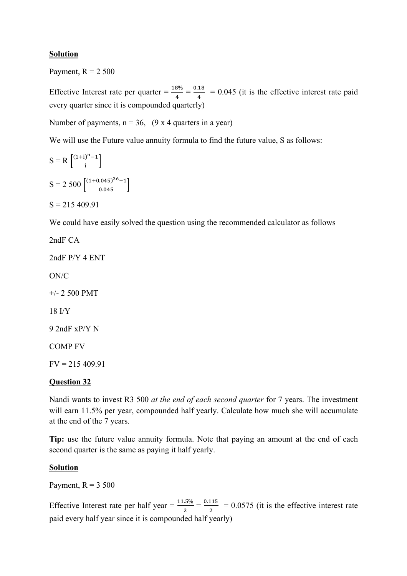## **Solution**

Payment,  $R = 2,500$ 

Effective Interest rate per quarter  $=$   $\frac{18\%}{4}$   $=$  0.045 (it is the effective interest rate paid every quarter since it is compounded quarterly)

Number of payments,  $n = 36$ ,  $(9 \times 4$  quarters in a year)

We will use the Future value annuity formula to find the future value, S as follows:

$$
S = R \left[ \frac{(1+i)^{n} - 1}{i} \right]
$$
  

$$
S = 2 \ 500 \left[ \frac{(1+0.045)^{36} - 1}{0.045} \right]
$$

 $S = 215,409.91$ 

We could have easily solved the question using the recommended calculator as follows

2ndF CA 2ndF P/Y 4 ENT ON/C +/- 2 500 PMT 18 I/Y 9 2ndF xP/Y N COMP FV  $FV = 215,409,91$ 

## **Question 32**

Nandi wants to invest R3 500 *at the end of each second quarter* for 7 years. The investment will earn 11.5% per year, compounded half yearly. Calculate how much she will accumulate at the end of the 7 years.

**Tip:** use the future value annuity formula. Note that paying an amount at the end of each second quarter is the same as paying it half yearly.

#### **Solution**

Payment,  $R = 3,500$ 

Effective Interest rate per half year =  $\frac{11.5\%}{2} = \frac{0.115}{2} = 0.0575$  (it is the effective interest rate paid every half year since it is compounded half yearly)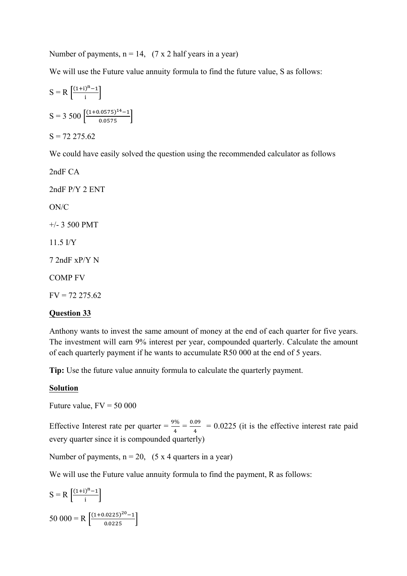Number of payments,  $n = 14$ ,  $(7 \times 2 \text{ half years in a year})$ 

We will use the Future value annuity formula to find the future value, S as follows:

$$
S = R \left[ \frac{(1+i)^{n} - 1}{i} \right]
$$
  
\n
$$
S = 3\ 500 \left[ \frac{(1+0.0575)^{14} - 1}{0.0575} \right]
$$
  
\n
$$
S = 72\ 275.62
$$

We could have easily solved the question using the recommended calculator as follows

2ndF CA 2ndF P/Y 2 ENT ON/C +/- 3 500 PMT 11.5 I/Y 7 2ndF xP/Y N COMP FV  $FV = 72 275.62$ 

# **Question 33**

## Anthony wants to invest the same amount of money at the end of each quarter for five years. The investment will earn 9% interest per year, compounded quarterly. Calculate the amount of each quarterly payment if he wants to accumulate R50 000 at the end of 5 years.

**Tip:** Use the future value annuity formula to calculate the quarterly payment.

#### **Solution**

Future value,  $FV = 50000$ 

Effective Interest rate per quarter =  $\frac{9\%}{4} = \frac{0.09}{4} = 0.0225$  (it is the effective interest rate paid every quarter since it is compounded quarterly)

Number of payments,  $n = 20$ , (5 x 4 quarters in a year)

We will use the Future value annuity formula to find the payment, R as follows:

$$
S = R \left[ \frac{(1+i)^{n} - 1}{i} \right]
$$
  
50 000 = R \left[ \frac{(1+0.0225)^{20} - 1}{0.0225} \right]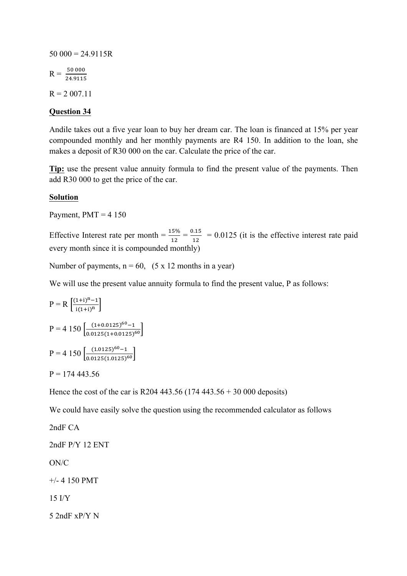$50\ 000 = 24.9115R$  $R = \frac{50\,000}{24.9115}$  $R = 2007.11$ 

## **Question 34**

Andile takes out a five year loan to buy her dream car. The loan is financed at 15% per year compounded monthly and her monthly payments are R4 150. In addition to the loan, she makes a deposit of R30 000 on the car. Calculate the price of the car.

**Tip:** use the present value annuity formula to find the present value of the payments. Then add R30 000 to get the price of the car.

#### **Solution**

Payment,  $PMT = 4$  150

Effective Interest rate per month  $=$   $\frac{15\%}{12}$   $=$   $\frac{0.15}{12}$   $=$  0.0125 (it is the effective interest rate paid every month since it is compounded monthly)

Number of payments,  $n = 60$ ,  $(5 \times 12 \text{ months in a year})$ 

We will use the present value annuity formula to find the present value, P as follows:

$$
P = R \left[ \frac{(1+i)^{n} - 1}{i(1+i)^{n}} \right]
$$
  
\n
$$
P = 4 \ 150 \left[ \frac{(1+0.0125)^{60} - 1}{0.0125(1+0.0125)^{60}} \right]
$$
  
\n
$$
P = 4 \ 150 \left[ \frac{(1.0125)^{60} - 1}{0.0125(1.0125)^{60}} \right]
$$

$$
P = 174\,443.56
$$

Hence the cost of the car is R204 443.56 (174 443.56 + 30 000 deposits)

We could have easily solve the question using the recommended calculator as follows

2ndF CA 2ndF P/Y 12 ENT ON/C +/- 4 150 PMT 15 I/Y 5 2ndF xP/Y N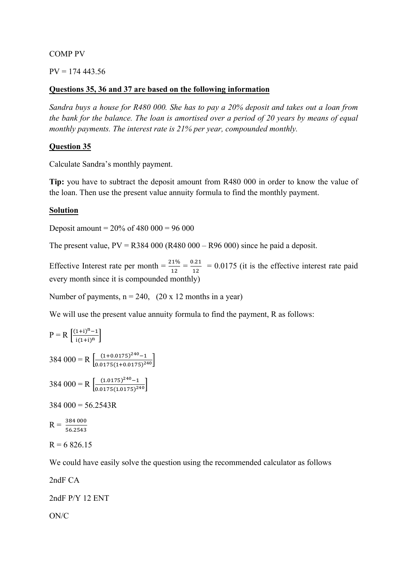#### COMP PV

#### $PV = 174443.56$

#### **Questions 35, 36 and 37 are based on the following information**

*Sandra buys a house for R480 000. She has to pay a 20% deposit and takes out a loan from the bank for the balance. The loan is amortised over a period of 20 years by means of equal monthly payments. The interest rate is 21% per year, compounded monthly.* 

#### **Question 35**

Calculate Sandra's monthly payment.

**Tip:** you have to subtract the deposit amount from R480 000 in order to know the value of the loan. Then use the present value annuity formula to find the monthly payment.

#### **Solution**

Deposit amount =  $20\%$  of 480 000 = 96 000

The present value,  $PV = R384\,000$  (R480 000 – R96 000) since he paid a deposit.

Effective Interest rate per month  $=$   $\frac{21\%}{12}$   $=$   $\frac{0.21}{12}$   $=$  0.0175 (it is the effective interest rate paid every month since it is compounded monthly)

Number of payments,  $n = 240$ , (20 x 12 months in a year)

We will use the present value annuity formula to find the payment, R as follows:

$$
P = R \left[ \frac{(1+i)^{n} - 1}{i(1+i)^{n}} \right]
$$
  
384 000 = R  $\left[ \frac{(1+0.0175)^{240} - 1}{0.0175(1+0.0175)^{240}} \right]$   
384 000 = R  $\left[ \frac{(1.0175)^{240} - 1}{0.0175(1.0175)^{240}} \right]$   
384 000 = 56.2543R  
R =  $\frac{384\,000}{}$ 

 $R = \frac{384\,000}{56.2543}$ 

$$
R = 6\,826.15
$$

We could have easily solve the question using the recommended calculator as follows

2ndF CA

2ndF P/Y 12 ENT

ON/C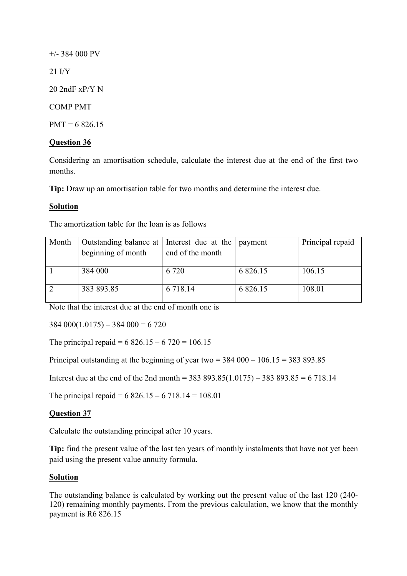+/- 384 000 PV 21 I/Y 20 2ndF xP/Y N COMP PMT  $PMT = 6,826,15$ 

## **Question 36**

Considering an amortisation schedule, calculate the interest due at the end of the first two months.

**Tip:** Draw up an amortisation table for two months and determine the interest due.

#### **Solution**

The amortization table for the loan is as follows

| Month | Outstanding balance at   Interest due at the   payment |                  |             | Principal repaid |
|-------|--------------------------------------------------------|------------------|-------------|------------------|
|       | beginning of month                                     | end of the month |             |                  |
|       |                                                        |                  |             |                  |
|       | 384 000                                                | 6 7 2 0          | 6 8 2 6 .15 | 106.15           |
|       |                                                        |                  |             |                  |
|       | 383 893.85                                             | 6 7 18 14        | 6 8 2 6 .15 | 108.01           |
|       |                                                        |                  |             |                  |

Note that the interest due at the end of month one is

 $384\,000(1.0175) - 384\,000 = 6\,720$ 

The principal repaid =  $6826.15 - 6720 = 106.15$ 

Principal outstanding at the beginning of year two  $=$  384 000 – 106.15  $=$  383 893.85

Interest due at the end of the 2nd month = 383 893.85(1.0175) – 383 893.85 = 6 718.14

The principal repaid =  $6826.15 - 6718.14 = 108.01$ 

#### **Question 37**

Calculate the outstanding principal after 10 years.

**Tip:** find the present value of the last ten years of monthly instalments that have not yet been paid using the present value annuity formula.

#### **Solution**

The outstanding balance is calculated by working out the present value of the last 120 (240- 120) remaining monthly payments. From the previous calculation, we know that the monthly payment is R6 826.15